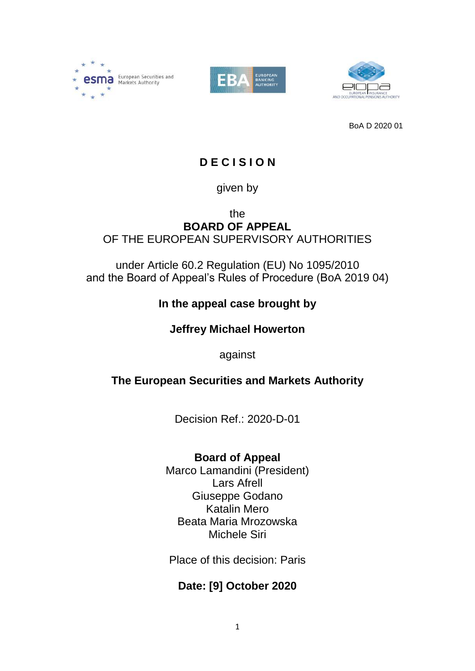





BoA D 2020 01

# **D E C I S I O N**

### given by

### the **BOARD OF APPEAL** OF THE EUROPEAN SUPERVISORY AUTHORITIES

### under Article 60.2 Regulation (EU) No 1095/2010 and the Board of Appeal's Rules of Procedure (BoA 2019 04)

# **In the appeal case brought by**

# **Jeffrey Michael Howerton**

against

# **The European Securities and Markets Authority**

Decision Ref.: 2020-D-01

# **Board of Appeal**

Marco Lamandini (President) Lars Afrell Giuseppe Godano Katalin Mero Beata Maria Mrozowska Michele Siri

Place of this decision: Paris

# **Date: [9] October 2020**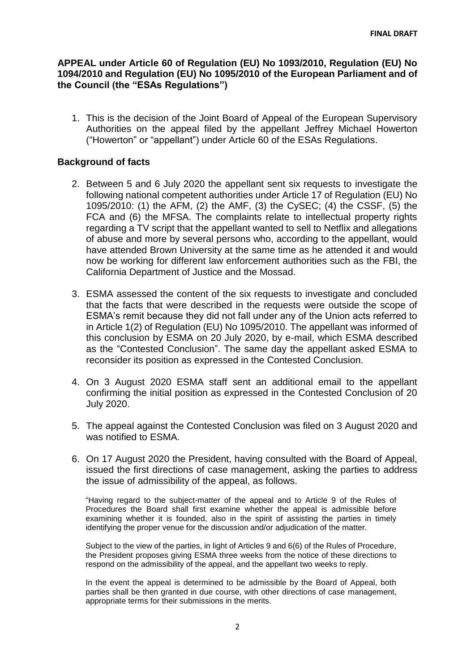#### **APPEAL under Article 60 of Regulation (EU) No 1093/2010, Regulation (EU) No 1094/2010 and Regulation (EU) No 1095/2010 of the European Parliament and of the Council (the "ESAs Regulations")**

1. This is the decision of the Joint Board of Appeal of the European Supervisory Authorities on the appeal filed by the appellant Jeffrey Michael Howerton ("Howerton" or "appellant") under Article 60 of the ESAs Regulations.

#### **Background of facts**

- 2. Between 5 and 6 July 2020 the appellant sent six requests to investigate the following national competent authorities under Article 17 of Regulation (EU) No 1095/2010: (1) the AFM, (2) the AMF, (3) the CySEC; (4) the CSSF, (5) the FCA and (6) the MFSA. The complaints relate to intellectual property rights regarding a TV script that the appellant wanted to sell to Netflix and allegations of abuse and more by several persons who, according to the appellant, would have attended Brown University at the same time as he attended it and would now be working for different law enforcement authorities such as the FBI, the California Department of Justice and the Mossad.
- 3. ESMA assessed the content of the six requests to investigate and concluded that the facts that were described in the requests were outside the scope of ESMA's remit because they did not fall under any of the Union acts referred to in Article 1(2) of Regulation (EU) No 1095/2010. The appellant was informed of this conclusion by ESMA on 20 July 2020, by e-mail, which ESMA described as the "Contested Conclusion". The same day the appellant asked ESMA to reconsider its position as expressed in the Contested Conclusion.
- 4. On 3 August 2020 ESMA staff sent an additional email to the appellant confirming the initial position as expressed in the Contested Conclusion of 20 July 2020.
- 5. The appeal against the Contested Conclusion was filed on 3 August 2020 and was notified to ESMA.
- 6. On 17 August 2020 the President, having consulted with the Board of Appeal, issued the first directions of case management, asking the parties to address the issue of admissibility of the appeal, as follows.

"Having regard to the subject-matter of the appeal and to Article 9 of the Rules of Procedures the Board shall first examine whether the appeal is admissible before examining whether it is founded, also in the spirit of assisting the parties in timely identifying the proper venue for the discussion and/or adjudication of the matter.

Subject to the view of the parties, in light of Articles 9 and 6(6) of the Rules of Procedure, the President proposes giving ESMA three weeks from the notice of these directions to respond on the admissibility of the appeal, and the appellant two weeks to reply.

In the event the appeal is determined to be admissible by the Board of Appeal, both parties shall be then granted in due course, with other directions of case management, appropriate terms for their submissions in the merits.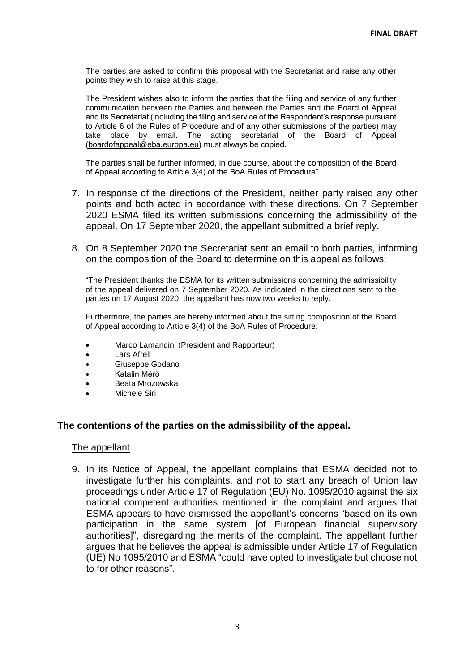The parties are asked to confirm this proposal with the Secretariat and raise any other points they wish to raise at this stage.

The President wishes also to inform the parties that the filing and service of any further communication between the Parties and between the Parties and the Board of Appeal and its Secretariat (including the filing and service of the Respondent's response pursuant to Article 6 of the Rules of Procedure and of any other submissions of the parties) may take place by email. The acting secretariat of the Board of Appeal [\(boardofappeal@eba.europa.eu\)](mailto:boardofappeal@eba.europa.eu) must always be copied.

The parties shall be further informed, in due course, about the composition of the Board of Appeal according to Article 3(4) of the BoA Rules of Procedure".

- 7. In response of the directions of the President, neither party raised any other points and both acted in accordance with these directions. On 7 September 2020 ESMA filed its written submissions concerning the admissibility of the appeal. On 17 September 2020, the appellant submitted a brief reply.
- 8. On 8 September 2020 the Secretariat sent an email to both parties, informing on the composition of the Board to determine on this appeal as follows:

"The President thanks the ESMA for its written submissions concerning the admissibility of the appeal delivered on 7 September 2020. As indicated in the directions sent to the parties on 17 August 2020, the appellant has now two weeks to reply.

Furthermore, the parties are hereby informed about the sitting composition of the Board of Appeal according to Article 3(4) of the BoA Rules of Procedure:

- Marco Lamandini (President and Rapporteur)
- Lars Afrell
- Giuseppe Godano
- Katalin Mérő
- Beata Mrozowska
- Michele Siri

#### **The contentions of the parties on the admissibility of the appeal.**

#### The appellant

9. In its Notice of Appeal, the appellant complains that ESMA decided not to investigate further his complaints, and not to start any breach of Union law proceedings under Article 17 of Regulation (EU) No. 1095/2010 against the six national competent authorities mentioned in the complaint and argues that ESMA appears to have dismissed the appellant's concerns "based on its own participation in the same system [of European financial supervisory authorities]", disregarding the merits of the complaint. The appellant further argues that he believes the appeal is admissible under Article 17 of Regulation (UE) No 1095/2010 and ESMA "could have opted to investigate but choose not to for other reasons".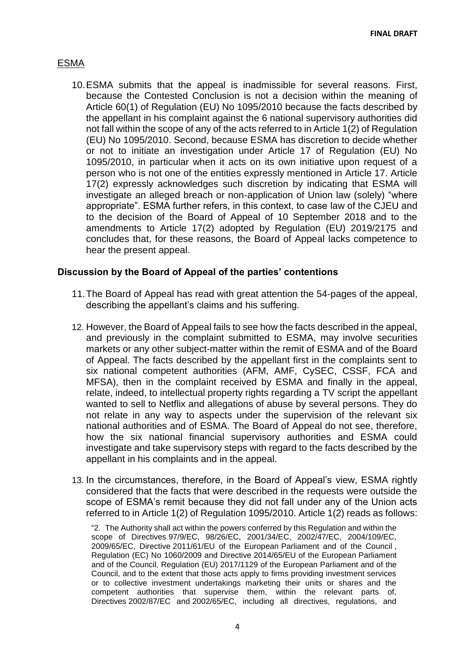#### ESMA

10.ESMA submits that the appeal is inadmissible for several reasons. First, because the Contested Conclusion is not a decision within the meaning of Article 60(1) of Regulation (EU) No 1095/2010 because the facts described by the appellant in his complaint against the 6 national supervisory authorities did not fall within the scope of any of the acts referred to in Article 1(2) of Regulation (EU) No 1095/2010. Second, because ESMA has discretion to decide whether or not to initiate an investigation under Article 17 of Regulation (EU) No 1095/2010, in particular when it acts on its own initiative upon request of a person who is not one of the entities expressly mentioned in Article 17. Article 17(2) expressly acknowledges such discretion by indicating that ESMA will investigate an alleged breach or non-application of Union law (solely) "where appropriate". ESMA further refers, in this context, to case law of the CJEU and to the decision of the Board of Appeal of 10 September 2018 and to the amendments to Article 17(2) adopted by Regulation (EU) 2019/2175 and concludes that, for these reasons, the Board of Appeal lacks competence to hear the present appeal.

#### **Discussion by the Board of Appeal of the parties' contentions**

- 11.The Board of Appeal has read with great attention the 54-pages of the appeal, describing the appellant's claims and his suffering.
- 12. However, the Board of Appeal fails to see how the facts described in the appeal, and previously in the complaint submitted to ESMA, may involve securities markets or any other subject-matter within the remit of ESMA and of the Board of Appeal. The facts described by the appellant first in the complaints sent to six national competent authorities (AFM, AMF, CySEC, CSSF, FCA and MFSA), then in the complaint received by ESMA and finally in the appeal, relate, indeed, to intellectual property rights regarding a TV script the appellant wanted to sell to Netflix and allegations of abuse by several persons. They do not relate in any way to aspects under the supervision of the relevant six national authorities and of ESMA. The Board of Appeal do not see, therefore, how the six national financial supervisory authorities and ESMA could investigate and take supervisory steps with regard to the facts described by the appellant in his complaints and in the appeal.
- 13. In the circumstances, therefore, in the Board of Appeal's view, ESMA rightly considered that the facts that were described in the requests were outside the scope of ESMA's remit because they did not fall under any of the Union acts referred to in Article 1(2) of Regulation 1095/2010. Article 1(2) reads as follows:

"2. The Authority shall act within the powers conferred by this Regulation and within the scope of Directives 97/9/EC, 98/26/EC, 2001/34/EC, 2002/47/EC, 2004/109/EC, 2009/65/EC, Directive 2011/61/EU of the European Parliament and of the Council , Regulation (EC) No 1060/2009 and Directive 2014/65/EU of the European Parliament and of the Council, Regulation (EU) 2017/1129 of the European Parliament and of the Council, and to the extent that those acts apply to firms providing investment services or to collective investment undertakings marketing their units or shares and the competent authorities that supervise them, within the relevant parts of, Directives 2002/87/EC and 2002/65/EC, including all directives, regulations, and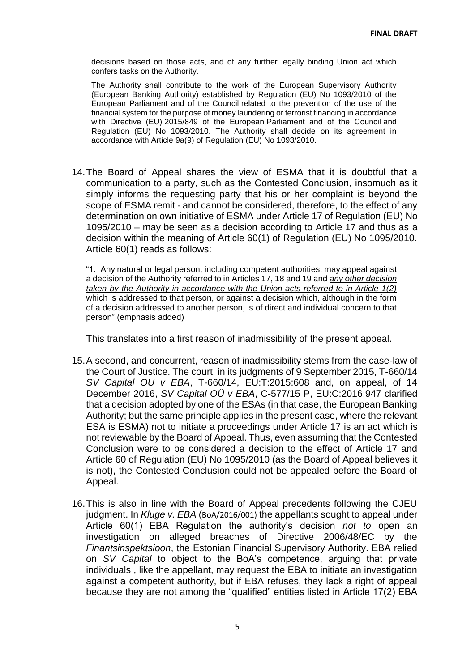decisions based on those acts, and of any further legally binding Union act which confers tasks on the Authority.

The Authority shall contribute to the work of the European Supervisory Authority (European Banking Authority) established by Regulation (EU) No 1093/2010 of the European Parliament and of the Council related to the prevention of the use of the financial system for the purpose of money laundering or terrorist financing in accordance with Directive (EU) 2015/849 of the European Parliament and of the Council and Regulation (EU) No 1093/2010. The Authority shall decide on its agreement in accordance with Article 9a(9) of Regulation (EU) No 1093/2010.

14.The Board of Appeal shares the view of ESMA that it is doubtful that a communication to a party, such as the Contested Conclusion, insomuch as it simply informs the requesting party that his or her complaint is beyond the scope of ESMA remit - and cannot be considered, therefore, to the effect of any determination on own initiative of ESMA under Article 17 of Regulation (EU) No 1095/2010 – may be seen as a decision according to Article 17 and thus as a decision within the meaning of Article 60(1) of Regulation (EU) No 1095/2010. Article 60(1) reads as follows:

"1. Any natural or legal person, including competent authorities, may appeal against a decision of the Authority referred to in Articles 17, 18 and 19 and *any other decision taken by the Authority in accordance with the Union acts referred to in Article 1(2)* which is addressed to that person, or against a decision which, although in the form of a decision addressed to another person, is of direct and individual concern to that person" (emphasis added)

This translates into a first reason of inadmissibility of the present appeal.

- 15.A second, and concurrent, reason of inadmissibility stems from the case-law of the Court of Justice. The court, in its judgments of 9 September 2015, T-660/14 *SV Capital OÜ v EBA*, T-660/14, EU:T:2015:608 and, on appeal, of 14 December 2016, *SV Capital OÜ v EBA*, C-577/15 P, EU:C:2016:947 clarified that a decision adopted by one of the ESAs (in that case, the European Banking Authority; but the same principle applies in the present case, where the relevant ESA is ESMA) not to initiate a proceedings under Article 17 is an act which is not reviewable by the Board of Appeal. Thus, even assuming that the Contested Conclusion were to be considered a decision to the effect of Article 17 and Article 60 of Regulation (EU) No 1095/2010 (as the Board of Appeal believes it is not), the Contested Conclusion could not be appealed before the Board of Appeal.
- 16.This is also in line with the Board of Appeal precedents following the CJEU judgment. In *Kluge v. EBA* (BoA/2016/001) the appellants sought to appeal under Article 60(1) EBA Regulation the authority's decision *not to* open an investigation on alleged breaches of Directive 2006/48/EC by the *Finantsinspektsioon*, the Estonian Financial Supervisory Authority. EBA relied on *SV Capital* to object to the BoA's competence, arguing that private individuals , like the appellant, may request the EBA to initiate an investigation against a competent authority, but if EBA refuses, they lack a right of appeal because they are not among the "qualified" entities listed in Article 17(2) EBA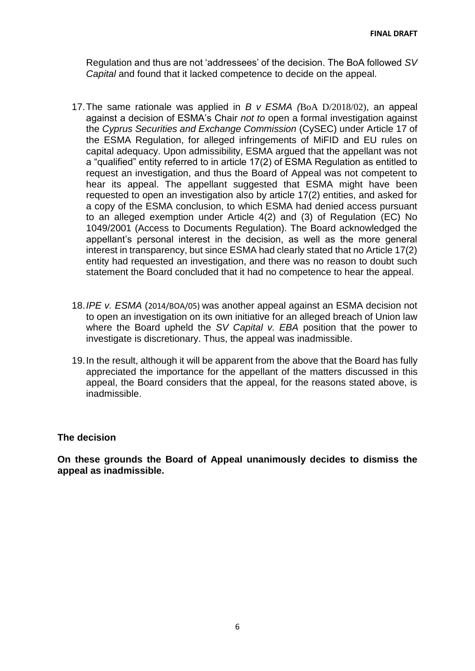Regulation and thus are not 'addressees' of the decision. The BoA followed *SV Capital* and found that it lacked competence to decide on the appeal.

- 17.The same rationale was applied in *B v ESMA (*BoA D/2018/02), an appeal against a decision of ESMA's Chair *not to* open a formal investigation against the *Cyprus Securities and Exchange Commission* (CySEC) under Article 17 of the ESMA Regulation, for alleged infringements of MiFID and EU rules on capital adequacy. Upon admissibility, ESMA argued that the appellant was not a "qualified" entity referred to in article 17(2) of ESMA Regulation as entitled to request an investigation, and thus the Board of Appeal was not competent to hear its appeal. The appellant suggested that ESMA might have been requested to open an investigation also by article 17(2) entities, and asked for a copy of the ESMA conclusion, to which ESMA had denied access pursuant to an alleged exemption under Article 4(2) and (3) of Regulation (EC) No 1049/2001 (Access to Documents Regulation). The Board acknowledged the appellant's personal interest in the decision, as well as the more general interest in transparency, but since ESMA had clearly stated that no Article 17(2) entity had requested an investigation, and there was no reason to doubt such statement the Board concluded that it had no competence to hear the appeal.
- 18.*IPE v. ESMA* (2014/BOA/05) was another appeal against an ESMA decision not to open an investigation on its own initiative for an alleged breach of Union law where the Board upheld the *SV Capital v. EBA* position that the power to investigate is discretionary. Thus, the appeal was inadmissible.
- 19.In the result, although it will be apparent from the above that the Board has fully appreciated the importance for the appellant of the matters discussed in this appeal, the Board considers that the appeal, for the reasons stated above, is inadmissible.

#### **The decision**

**On these grounds the Board of Appeal unanimously decides to dismiss the appeal as inadmissible.**